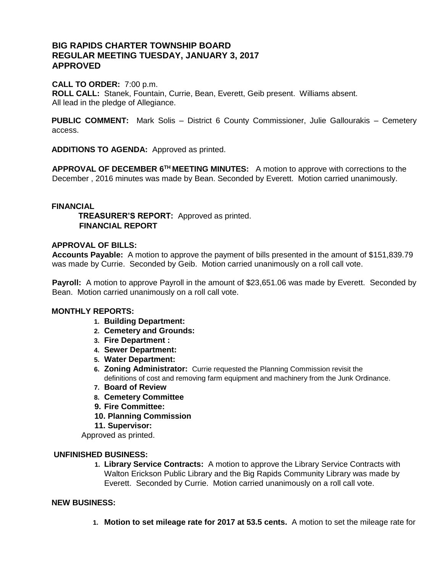# **BIG RAPIDS CHARTER TOWNSHIP BOARD REGULAR MEETING TUESDAY, JANUARY 3, 2017 APPROVED**

### **CALL TO ORDER:** 7:00 p.m.

**ROLL CALL:** Stanek, Fountain, Currie, Bean, Everett, Geib present. Williams absent. All lead in the pledge of Allegiance.

**PUBLIC COMMENT:** Mark Solis – District 6 County Commissioner, Julie Gallourakis – Cemetery access.

**ADDITIONS TO AGENDA:** Approved as printed.

**APPROVAL OF DECEMBER 6TH MEETING MINUTES:** A motion to approve with corrections to the December , 2016 minutes was made by Bean. Seconded by Everett. Motion carried unanimously.

#### **FINANCIAL**

 **TREASURER'S REPORT:** Approved as printed.  **FINANCIAL REPORT** 

#### **APPROVAL OF BILLS:**

**Accounts Payable:** A motion to approve the payment of bills presented in the amount of \$151,839.79 was made by Currie. Seconded by Geib. Motion carried unanimously on a roll call vote.

**Payroll:** A motion to approve Payroll in the amount of \$23,651.06 was made by Everett. Seconded by Bean. Motion carried unanimously on a roll call vote.

#### **MONTHLY REPORTS:**

- **1. Building Department:**
- **2. Cemetery and Grounds:**
- **3. Fire Department :**
- **4. Sewer Department:**
- **5. Water Department:**
- **6. Zoning Administrator:** Currie requested the Planning Commission revisit the definitions of cost and removing farm equipment and machinery from the Junk Ordinance.
- **7. Board of Review**
- **8. Cemetery Committee**
- **9. Fire Committee:**
- **10. Planning Commission**
- **11. Supervisor:**

Approved as printed.

#### **UNFINISHED BUSINESS:**

**1. Library Service Contracts:** A motion to approve the Library Service Contracts with Walton Erickson Public Library and the Big Rapids Community Library was made by Everett. Seconded by Currie. Motion carried unanimously on a roll call vote.

#### **NEW BUSINESS:**

**1. Motion to set mileage rate for 2017 at 53.5 cents.** A motion to set the mileage rate for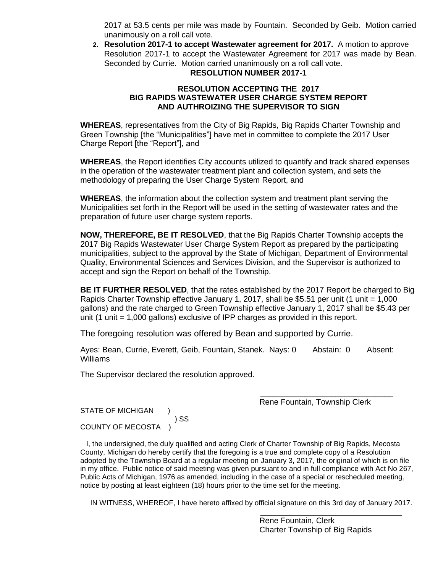2017 at 53.5 cents per mile was made by Fountain. Seconded by Geib. Motion carried unanimously on a roll call vote.

**2. Resolution 2017-1 to accept Wastewater agreement for 2017.** A motion to approve Resolution 2017-1 to accept the Wastewater Agreement for 2017 was made by Bean. Seconded by Currie. Motion carried unanimously on a roll call vote. **RESOLUTION NUMBER 2017-1**

## **RESOLUTION ACCEPTING THE 2017 BIG RAPIDS WASTEWATER USER CHARGE SYSTEM REPORT AND AUTHROIZING THE SUPERVISOR TO SIGN**

**WHEREAS**, representatives from the City of Big Rapids, Big Rapids Charter Township and Green Township [the "Municipalities"] have met in committee to complete the 2017 User Charge Report [the "Report"], and

**WHEREAS**, the Report identifies City accounts utilized to quantify and track shared expenses in the operation of the wastewater treatment plant and collection system, and sets the methodology of preparing the User Charge System Report, and

**WHEREAS**, the information about the collection system and treatment plant serving the Municipalities set forth in the Report will be used in the setting of wastewater rates and the preparation of future user charge system reports.

**NOW, THEREFORE, BE IT RESOLVED**, that the Big Rapids Charter Township accepts the 2017 Big Rapids Wastewater User Charge System Report as prepared by the participating municipalities, subject to the approval by the State of Michigan, Department of Environmental Quality, Environmental Sciences and Services Division, and the Supervisor is authorized to accept and sign the Report on behalf of the Township.

**BE IT FURTHER RESOLVED**, that the rates established by the 2017 Report be charged to Big Rapids Charter Township effective January 1, 2017, shall be \$5.51 per unit (1 unit = 1,000 gallons) and the rate charged to Green Township effective January 1, 2017 shall be \$5.43 per unit (1 unit = 1,000 gallons) exclusive of IPP charges as provided in this report.

The foregoing resolution was offered by Bean and supported by Currie.

Ayes: Bean, Currie, Everett, Geib, Fountain, Stanek. Nays: 0 Abstain: 0 Absent: Williams

The Supervisor declared the resolution approved.

Rene Fountain, Township Clerk

\_\_\_\_\_\_\_\_\_\_\_\_\_\_\_\_\_\_\_\_\_\_\_\_\_\_\_\_\_\_

STATE OF MICHIGAN ) SS COUNTY OF MECOSTA )

 I, the undersigned, the duly qualified and acting Clerk of Charter Township of Big Rapids, Mecosta County, Michigan do hereby certify that the foregoing is a true and complete copy of a Resolution adopted by the Township Board at a regular meeting on January 3, 2017, the original of which is on file in my office. Public notice of said meeting was given pursuant to and in full compliance with Act No 267, Public Acts of Michigan, 1976 as amended, including in the case of a special or rescheduled meeting, notice by posting at least eighteen (18) hours prior to the time set for the meeting.

IN WITNESS, WHEREOF, I have hereto affixed by official signature on this 3rd day of January 2017.

 Rene Fountain, Clerk Charter Township of Big Rapids

\_\_\_\_\_\_\_\_\_\_\_\_\_\_\_\_\_\_\_\_\_\_\_\_\_\_\_\_\_\_\_\_